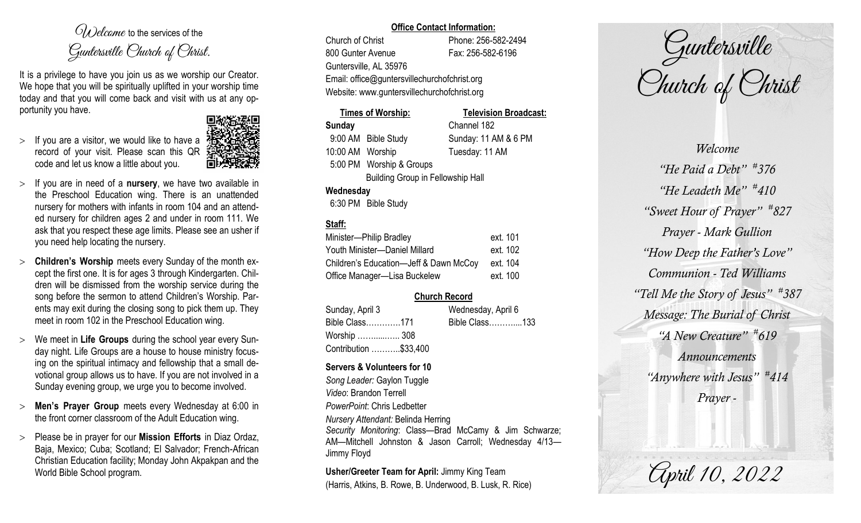$O(\lambda)$  elcame to the services of the Guntersville Church of Christ.

It is a privilege to have you join us as we worship our Creator. We hope that you will be spiritually uplifted in your worship time today and that you will come back and visit with us at any opportunity you have.

 $>$  If you are a visitor, we would like to have a record of your visit. Please scan this QR code and let us know a little about you.



- $>$  If you are in need of a **nursery**, we have two available in the Preschool Education wing. There is an unattended nursery for mothers with infants in room 104 and an attended nursery for children ages 2 and under in room 111. We ask that you respect these age limits. Please see an usher if you need help locating the nursery.
- **Children's Worship** meets every Sunday of the month except the first one. It is for ages 3 through Kindergarten. Children will be dismissed from the worship service during the song before the sermon to attend Children's Worship. Parents may exit during the closing song to pick them up. They meet in room 102 in the Preschool Education wing.
- We meet in **Life Groups** during the school year every Sunday night. Life Groups are a house to house ministry focusing on the spiritual intimacy and fellowship that a small devotional group allows us to have. If you are not involved in a Sunday evening group, we urge you to become involved.
- **Men's Prayer Group** meets every Wednesday at 6:00 in the front corner classroom of the Adult Education wing.
- Please be in prayer for our **Mission Efforts** in Diaz Ordaz, Baja, Mexico; Cuba; Scotland; El Salvador; French-African Christian Education facility; Monday John Akpakpan and the World Bible School program.

#### **Office Contact Information:**

Church of Christ Phone: 256-582-2494 800 Gunter Avenue Fax: 256-582-6196 Guntersville, AL 35976 Email: office@guntersvillechurchofchrist.org Website: www.guntersvillechurchofchrist.org

# **Times of Worship: Television Broadcast: Sunday** Channel 182 9:00 AM Bible Study Sunday: 11 AM & 6 PM 10:00 AM Worship Tuesday: 11 AM 5:00 PM Worship & Groups Building Group in Fellowship Hall **Wednesday**

6:30 PM Bible Study

# **Staff:**

| Minister-Philip Bradley                | ext. 101 |
|----------------------------------------|----------|
| Youth Minister-Daniel Millard          | ext. 102 |
| Children's Education-Jeff & Dawn McCoy | ext. 104 |
| Office Manager-Lisa Buckelew           | ext. 100 |

# **Church Record**

| Sunday, April 3       | Wednesday, April 6 |  |
|-----------------------|--------------------|--|
| Bible Class171        | Bible Class133     |  |
| Worship  308          |                    |  |
| Contribution \$33,400 |                    |  |

#### **Servers & Volunteers for 10**

*Song Leader:* Gaylon Tuggle *Video*: Brandon Terrell *PowerPoint*: Chris Ledbetter *Nursery Attendant:* Belinda Herring *Security Monitoring*: Class—Brad McCamy & Jim Schwarze; AM—Mitchell Johnston & Jason Carroll; Wednesday 4/13— Jimmy Floyd

**Usher/Greeter Team for April:** Jimmy King Team (Harris, Atkins, B. Rowe, B. Underwood, B. Lusk, R. Rice)

Guntersville Church of Christ

*Welcome "He Paid a Debt" # 376 "He Leadeth Me" # 410 "Sweet Hour of Prayer" # 827 Prayer - Mark Gullion "How Deep the Father's Love" Communion - Ted Williams "Tell Me the Story of Jesus" # 387 Message: The Burial of Christ "A New Creature" # 619 Announcements "Anywhere with Jesus" # 414 Prayer -*

April 10, 2022